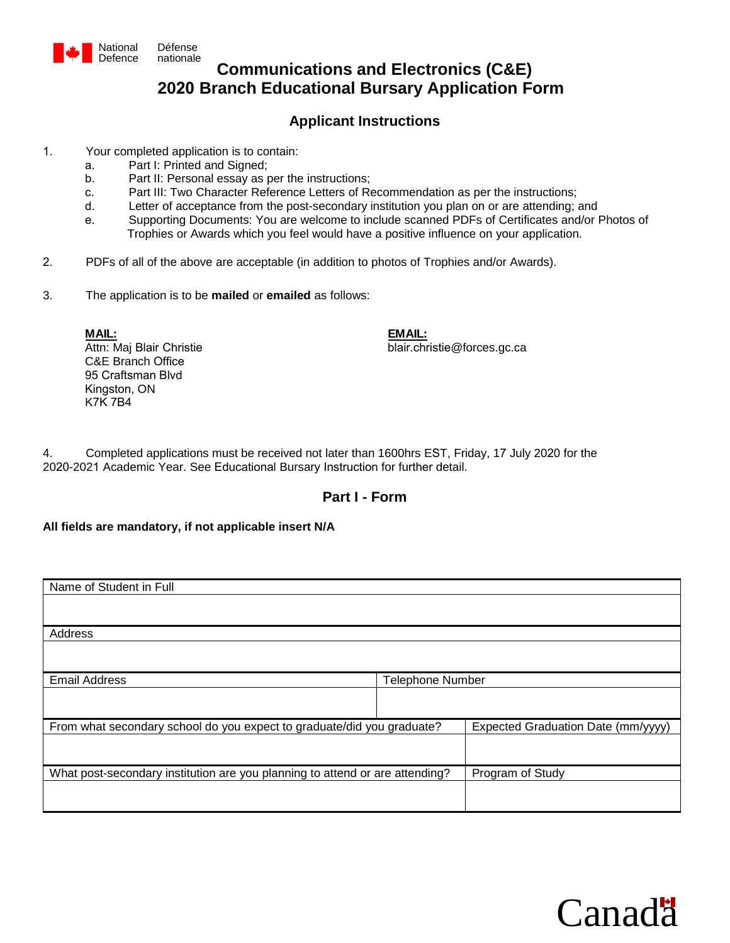

# **Communications and Electronics (C&E) 2020 Branch Educational Bursary Application Form**

### **Applicant Instructions**

- 1. Your completed application is to contain:
	- a. Part I: Printed and Signed;
	- b. Part II: Personal essay as per the instructions;
	- c. Part III: Two Character Reference Letters of Recommendation as per the instructions;
	- d. Letter of acceptance from the post-secondary institution you plan on or are attending; and
	- e. Supporting Documents: You are welcome to include scanned PDFs of Certificates and/or Photos of Trophies or Awards which you feel would have a positive influence on your application.
- 2. PDFs of all of the above are acceptable (in addition to photos of Trophies and/or Awards).
- 3. The application is to be **mailed** or **emailed** as follows:

**MAIL:** Attn: Maj Blair Christie C&E Branch Office 95 Craftsman Blvd Kingston, ON K7K 7B4

**EMAIL:** blair.christie@forces.gc.ca

4. Completed applications must be received not later than 1600hrs EST, Friday, 17 July 2020 for the 2020-2021 Academic Year. See Educational Bursary Instruction for further detail.

## **Part I - Form**

### **All fields are mandatory, if not applicable insert N/A**

| Name of Student in Full                                                      |                         |                                    |
|------------------------------------------------------------------------------|-------------------------|------------------------------------|
|                                                                              |                         |                                    |
| Address                                                                      |                         |                                    |
|                                                                              |                         |                                    |
| <b>Email Address</b>                                                         | <b>Telephone Number</b> |                                    |
|                                                                              |                         |                                    |
| From what secondary school do you expect to graduate/did you graduate?       |                         | Expected Graduation Date (mm/yyyy) |
|                                                                              |                         |                                    |
| What post-secondary institution are you planning to attend or are attending? |                         | Program of Study                   |
|                                                                              |                         |                                    |